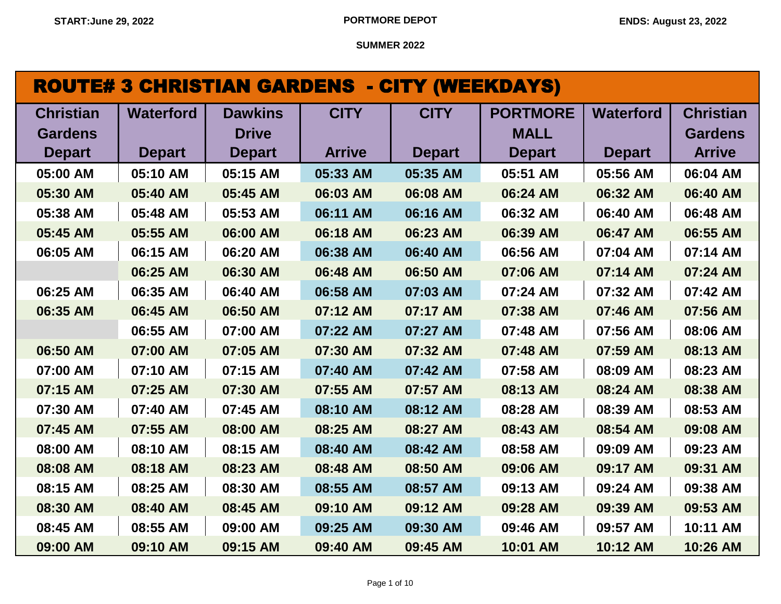| <b>ROUTE# 3 CHRISTIAN GARDENS - CITY (WEEKDAYS)</b> |
|-----------------------------------------------------|
|-----------------------------------------------------|

| <b>Christian</b> | <b>Waterford</b> | <b>Dawkins</b> | <b>CITY</b>   | <b>CITY</b>   | <b>PORTMORE</b> | <b>Waterford</b> | <b>Christian</b> |
|------------------|------------------|----------------|---------------|---------------|-----------------|------------------|------------------|
| <b>Gardens</b>   |                  | <b>Drive</b>   |               |               | <b>MALL</b>     |                  | <b>Gardens</b>   |
| <b>Depart</b>    | <b>Depart</b>    | <b>Depart</b>  | <b>Arrive</b> | <b>Depart</b> | <b>Depart</b>   | <b>Depart</b>    | <b>Arrive</b>    |
| 05:00 AM         | 05:10 AM         | 05:15 AM       | 05:33 AM      | 05:35 AM      | 05:51 AM        | 05:56 AM         | 06:04 AM         |
| 05:30 AM         | 05:40 AM         | 05:45 AM       | 06:03 AM      | 06:08 AM      | 06:24 AM        | 06:32 AM         | 06:40 AM         |
| 05:38 AM         | 05:48 AM         | 05:53 AM       | 06:11 AM      | 06:16 AM      | 06:32 AM        | 06:40 AM         | 06:48 AM         |
| 05:45 AM         | 05:55 AM         | 06:00 AM       | 06:18 AM      | 06:23 AM      | 06:39 AM        | 06:47 AM         | 06:55 AM         |
| 06:05 AM         | 06:15 AM         | 06:20 AM       | 06:38 AM      | 06:40 AM      | 06:56 AM        | 07:04 AM         | 07:14 AM         |
|                  | 06:25 AM         | 06:30 AM       | 06:48 AM      | 06:50 AM      | 07:06 AM        | 07:14 AM         | 07:24 AM         |
| 06:25 AM         | 06:35 AM         | 06:40 AM       | 06:58 AM      | 07:03 AM      | 07:24 AM        | 07:32 AM         | 07:42 AM         |
| 06:35 AM         | 06:45 AM         | 06:50 AM       | 07:12 AM      | 07:17 AM      | 07:38 AM        | 07:46 AM         | 07:56 AM         |
|                  | 06:55 AM         | 07:00 AM       | 07:22 AM      | 07:27 AM      | 07:48 AM        | 07:56 AM         | 08:06 AM         |
| 06:50 AM         | 07:00 AM         | 07:05 AM       | 07:30 AM      | 07:32 AM      | 07:48 AM        | 07:59 AM         | 08:13 AM         |
| 07:00 AM         | 07:10 AM         | 07:15 AM       | 07:40 AM      | 07:42 AM      | 07:58 AM        | 08:09 AM         | 08:23 AM         |
| 07:15 AM         | 07:25 AM         | 07:30 AM       | 07:55 AM      | 07:57 AM      | 08:13 AM        | 08:24 AM         | 08:38 AM         |
| 07:30 AM         | 07:40 AM         | 07:45 AM       | 08:10 AM      | 08:12 AM      | 08:28 AM        | 08:39 AM         | 08:53 AM         |
| 07:45 AM         | 07:55 AM         | 08:00 AM       | 08:25 AM      | 08:27 AM      | 08:43 AM        | 08:54 AM         | 09:08 AM         |
| 08:00 AM         | 08:10 AM         | 08:15 AM       | 08:40 AM      | 08:42 AM      | 08:58 AM        | 09:09 AM         | 09:23 AM         |
| 08:08 AM         | 08:18 AM         | 08:23 AM       | 08:48 AM      | 08:50 AM      | 09:06 AM        | 09:17 AM         | 09:31 AM         |
| 08:15 AM         | 08:25 AM         | 08:30 AM       | 08:55 AM      | 08:57 AM      | 09:13 AM        | 09:24 AM         | 09:38 AM         |
| 08:30 AM         | 08:40 AM         | 08:45 AM       | 09:10 AM      | 09:12 AM      | 09:28 AM        | 09:39 AM         | 09:53 AM         |
| 08:45 AM         | 08:55 AM         | 09:00 AM       | 09:25 AM      | 09:30 AM      | 09:46 AM        | 09:57 AM         | 10:11 AM         |
| 09:00 AM         | 09:10 AM         | 09:15 AM       | 09:40 AM      | 09:45 AM      | 10:01 AM        | 10:12 AM         | 10:26 AM         |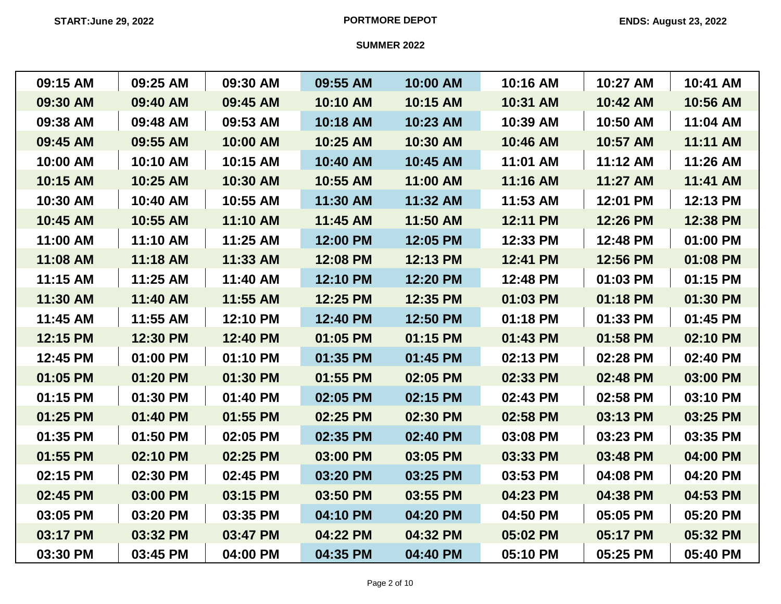| 09:15 AM | 09:25 AM | 09:30 AM | 09:55 AM | 10:00 AM | 10:16 AM | 10:27 AM | 10:41 AM |
|----------|----------|----------|----------|----------|----------|----------|----------|
| 09:30 AM | 09:40 AM | 09:45 AM | 10:10 AM | 10:15 AM | 10:31 AM | 10:42 AM | 10:56 AM |
| 09:38 AM | 09:48 AM | 09:53 AM | 10:18 AM | 10:23 AM | 10:39 AM | 10:50 AM | 11:04 AM |
| 09:45 AM | 09:55 AM | 10:00 AM | 10:25 AM | 10:30 AM | 10:46 AM | 10:57 AM | 11:11 AM |
| 10:00 AM | 10:10 AM | 10:15 AM | 10:40 AM | 10:45 AM | 11:01 AM | 11:12 AM | 11:26 AM |
| 10:15 AM | 10:25 AM | 10:30 AM | 10:55 AM | 11:00 AM | 11:16 AM | 11:27 AM | 11:41 AM |
| 10:30 AM | 10:40 AM | 10:55 AM | 11:30 AM | 11:32 AM | 11:53 AM | 12:01 PM | 12:13 PM |
| 10:45 AM | 10:55 AM | 11:10 AM | 11:45 AM | 11:50 AM | 12:11 PM | 12:26 PM | 12:38 PM |
| 11:00 AM | 11:10 AM | 11:25 AM | 12:00 PM | 12:05 PM | 12:33 PM | 12:48 PM | 01:00 PM |
| 11:08 AM | 11:18 AM | 11:33 AM | 12:08 PM | 12:13 PM | 12:41 PM | 12:56 PM | 01:08 PM |
| 11:15 AM | 11:25 AM | 11:40 AM | 12:10 PM | 12:20 PM | 12:48 PM | 01:03 PM | 01:15 PM |
| 11:30 AM | 11:40 AM | 11:55 AM | 12:25 PM | 12:35 PM | 01:03 PM | 01:18 PM | 01:30 PM |
| 11:45 AM | 11:55 AM | 12:10 PM | 12:40 PM | 12:50 PM | 01:18 PM | 01:33 PM | 01:45 PM |
| 12:15 PM | 12:30 PM | 12:40 PM | 01:05 PM | 01:15 PM | 01:43 PM | 01:58 PM | 02:10 PM |
| 12:45 PM | 01:00 PM | 01:10 PM | 01:35 PM | 01:45 PM | 02:13 PM | 02:28 PM | 02:40 PM |
| 01:05 PM | 01:20 PM | 01:30 PM | 01:55 PM | 02:05 PM | 02:33 PM | 02:48 PM | 03:00 PM |
| 01:15 PM | 01:30 PM | 01:40 PM | 02:05 PM | 02:15 PM | 02:43 PM | 02:58 PM | 03:10 PM |
| 01:25 PM | 01:40 PM | 01:55 PM | 02:25 PM | 02:30 PM | 02:58 PM | 03:13 PM | 03:25 PM |
| 01:35 PM | 01:50 PM | 02:05 PM | 02:35 PM | 02:40 PM | 03:08 PM | 03:23 PM | 03:35 PM |
| 01:55 PM | 02:10 PM | 02:25 PM | 03:00 PM | 03:05 PM | 03:33 PM | 03:48 PM | 04:00 PM |
| 02:15 PM | 02:30 PM | 02:45 PM | 03:20 PM | 03:25 PM | 03:53 PM | 04:08 PM | 04:20 PM |
| 02:45 PM | 03:00 PM | 03:15 PM | 03:50 PM | 03:55 PM | 04:23 PM | 04:38 PM | 04:53 PM |
| 03:05 PM | 03:20 PM | 03:35 PM | 04:10 PM | 04:20 PM | 04:50 PM | 05:05 PM | 05:20 PM |
| 03:17 PM | 03:32 PM | 03:47 PM | 04:22 PM | 04:32 PM | 05:02 PM | 05:17 PM | 05:32 PM |
| 03:30 PM | 03:45 PM | 04:00 PM | 04:35 PM | 04:40 PM | 05:10 PM | 05:25 PM | 05:40 PM |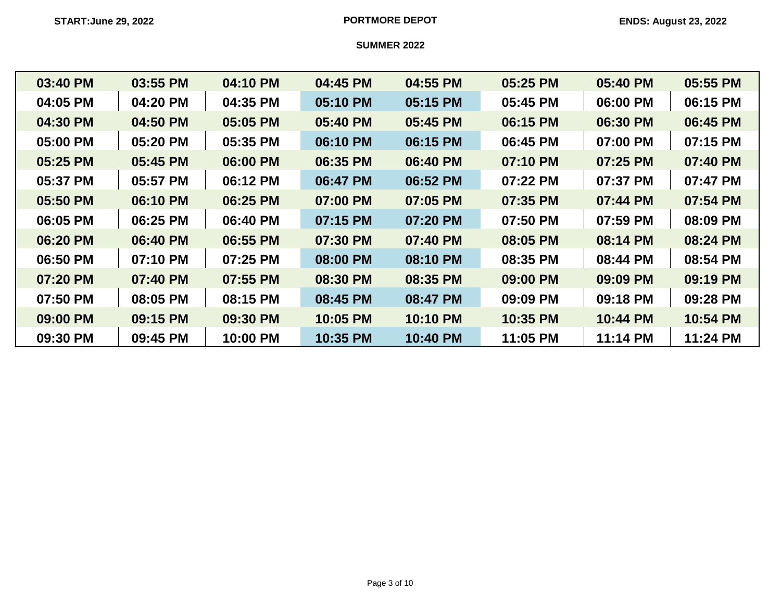| 03:40 PM | 03:55 PM | 04:10 PM | 04:45 PM | 04:55 PM | 05:25 PM | 05:40 PM | 05:55 PM |
|----------|----------|----------|----------|----------|----------|----------|----------|
| 04:05 PM | 04:20 PM | 04:35 PM | 05:10 PM | 05:15 PM | 05:45 PM | 06:00 PM | 06:15 PM |
| 04:30 PM | 04:50 PM | 05:05 PM | 05:40 PM | 05:45 PM | 06:15 PM | 06:30 PM | 06:45 PM |
| 05:00 PM | 05:20 PM | 05:35 PM | 06:10 PM | 06:15 PM | 06:45 PM | 07:00 PM | 07:15 PM |
| 05:25 PM | 05:45 PM | 06:00 PM | 06:35 PM | 06:40 PM | 07:10 PM | 07:25 PM | 07:40 PM |
| 05:37 PM | 05:57 PM | 06:12 PM | 06:47 PM | 06:52 PM | 07:22 PM | 07:37 PM | 07:47 PM |
| 05:50 PM | 06:10 PM | 06:25 PM | 07:00 PM | 07:05 PM | 07:35 PM | 07:44 PM | 07:54 PM |
| 06:05 PM | 06:25 PM | 06:40 PM | 07:15 PM | 07:20 PM | 07:50 PM | 07:59 PM | 08:09 PM |
| 06:20 PM | 06:40 PM | 06:55 PM | 07:30 PM | 07:40 PM | 08:05 PM | 08:14 PM | 08:24 PM |
| 06:50 PM | 07:10 PM | 07:25 PM | 08:00 PM | 08:10 PM | 08:35 PM | 08:44 PM | 08:54 PM |
| 07:20 PM | 07:40 PM | 07:55 PM | 08:30 PM | 08:35 PM | 09:00 PM | 09:09 PM | 09:19 PM |
| 07:50 PM | 08:05 PM | 08:15 PM | 08:45 PM | 08:47 PM | 09:09 PM | 09:18 PM | 09:28 PM |
| 09:00 PM | 09:15 PM | 09:30 PM | 10:05 PM | 10:10 PM | 10:35 PM | 10:44 PM | 10:54 PM |
| 09:30 PM | 09:45 PM | 10:00 PM | 10:35 PM | 10:40 PM | 11:05 PM | 11:14 PM | 11:24 PM |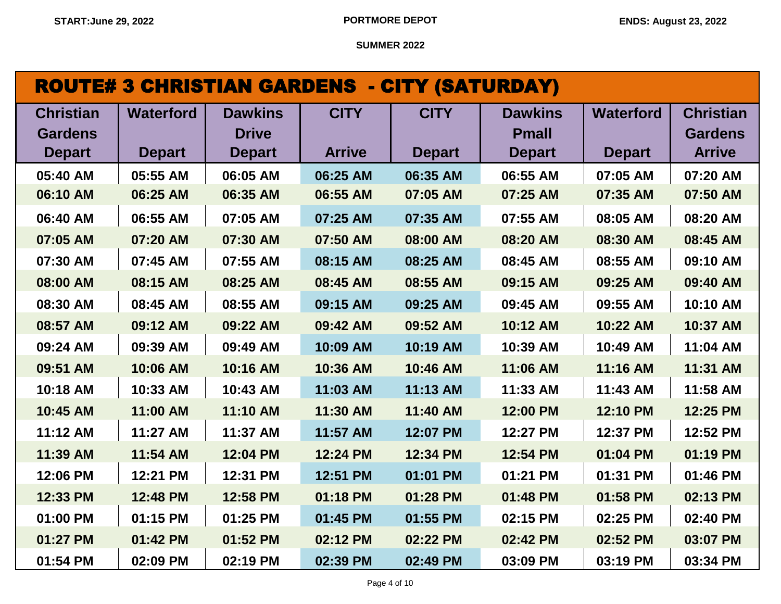| <b>ROUTE# 3 CHRISTIAN GARDENS - CITY (SATURDAY)</b> |  |
|-----------------------------------------------------|--|
|-----------------------------------------------------|--|

| <b>Christian</b> | <b>Waterford</b> | <b>Dawkins</b> | <b>CITY</b>   | <b>CITY</b>   | <b>Dawkins</b> | <b>Waterford</b> | <b>Christian</b> |
|------------------|------------------|----------------|---------------|---------------|----------------|------------------|------------------|
| <b>Gardens</b>   |                  | <b>Drive</b>   |               |               | <b>Pmall</b>   |                  | <b>Gardens</b>   |
| <b>Depart</b>    | <b>Depart</b>    | <b>Depart</b>  | <b>Arrive</b> | <b>Depart</b> | <b>Depart</b>  | <b>Depart</b>    | <b>Arrive</b>    |
| 05:40 AM         | 05:55 AM         | 06:05 AM       | 06:25 AM      | 06:35 AM      | 06:55 AM       | 07:05 AM         | 07:20 AM         |
| 06:10 AM         | 06:25 AM         | 06:35 AM       | 06:55 AM      | 07:05 AM      | 07:25 AM       | 07:35 AM         | 07:50 AM         |
| 06:40 AM         | 06:55 AM         | 07:05 AM       | 07:25 AM      | 07:35 AM      | 07:55 AM       | 08:05 AM         | 08:20 AM         |
| 07:05 AM         | 07:20 AM         | 07:30 AM       | 07:50 AM      | 08:00 AM      | 08:20 AM       | 08:30 AM         | 08:45 AM         |
| 07:30 AM         | 07:45 AM         | 07:55 AM       | 08:15 AM      | 08:25 AM      | 08:45 AM       | 08:55 AM         | 09:10 AM         |
| 08:00 AM         | 08:15 AM         | 08:25 AM       | 08:45 AM      | 08:55 AM      | 09:15 AM       | 09:25 AM         | 09:40 AM         |
| 08:30 AM         | 08:45 AM         | 08:55 AM       | 09:15 AM      | 09:25 AM      | 09:45 AM       | 09:55 AM         | 10:10 AM         |
| 08:57 AM         | 09:12 AM         | 09:22 AM       | 09:42 AM      | 09:52 AM      | 10:12 AM       | 10:22 AM         | 10:37 AM         |
| 09:24 AM         | 09:39 AM         | 09:49 AM       | 10:09 AM      | 10:19 AM      | 10:39 AM       | 10:49 AM         | 11:04 AM         |
| 09:51 AM         | 10:06 AM         | 10:16 AM       | 10:36 AM      | 10:46 AM      | 11:06 AM       | 11:16 AM         | 11:31 AM         |
| 10:18 AM         | 10:33 AM         | 10:43 AM       | 11:03 AM      | 11:13 AM      | 11:33 AM       | 11:43 AM         | 11:58 AM         |
| 10:45 AM         | 11:00 AM         | 11:10 AM       | 11:30 AM      | 11:40 AM      | 12:00 PM       | 12:10 PM         | 12:25 PM         |
| 11:12 AM         | 11:27 AM         | 11:37 AM       | 11:57 AM      | 12:07 PM      | 12:27 PM       | 12:37 PM         | 12:52 PM         |
| 11:39 AM         | 11:54 AM         | 12:04 PM       | 12:24 PM      | 12:34 PM      | 12:54 PM       | 01:04 PM         | 01:19 PM         |
| 12:06 PM         | 12:21 PM         | 12:31 PM       | 12:51 PM      | 01:01 PM      | 01:21 PM       | 01:31 PM         | 01:46 PM         |
| 12:33 PM         | 12:48 PM         | 12:58 PM       | 01:18 PM      | 01:28 PM      | 01:48 PM       | 01:58 PM         | 02:13 PM         |
| 01:00 PM         | 01:15 PM         | 01:25 PM       | 01:45 PM      | 01:55 PM      | 02:15 PM       | 02:25 PM         | 02:40 PM         |
| 01:27 PM         | 01:42 PM         | 01:52 PM       | 02:12 PM      | 02:22 PM      | 02:42 PM       | 02:52 PM         | 03:07 PM         |
| 01:54 PM         | 02:09 PM         | 02:19 PM       | 02:39 PM      | 02:49 PM      | 03:09 PM       | 03:19 PM         | 03:34 PM         |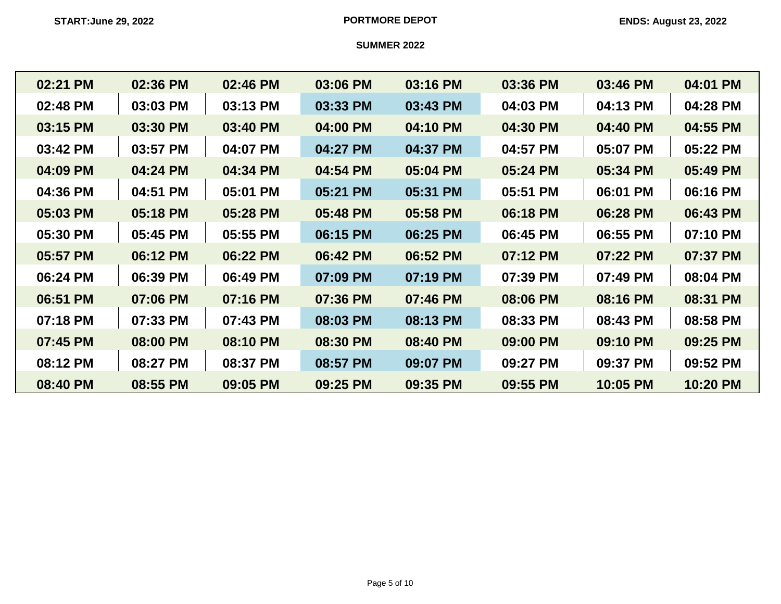| 02:21 PM | 02:36 PM | 02:46 PM | 03:06 PM | 03:16 PM | 03:36 PM | 03:46 PM | 04:01 PM |
|----------|----------|----------|----------|----------|----------|----------|----------|
| 02:48 PM | 03:03 PM | 03:13 PM | 03:33 PM | 03:43 PM | 04:03 PM | 04:13 PM | 04:28 PM |
| 03:15 PM | 03:30 PM | 03:40 PM | 04:00 PM | 04:10 PM | 04:30 PM | 04:40 PM | 04:55 PM |
| 03:42 PM | 03:57 PM | 04:07 PM | 04:27 PM | 04:37 PM | 04:57 PM | 05:07 PM | 05:22 PM |
| 04:09 PM | 04:24 PM | 04:34 PM | 04:54 PM | 05:04 PM | 05:24 PM | 05:34 PM | 05:49 PM |
| 04:36 PM | 04:51 PM | 05:01 PM | 05:21 PM | 05:31 PM | 05:51 PM | 06:01 PM | 06:16 PM |
| 05:03 PM | 05:18 PM | 05:28 PM | 05:48 PM | 05:58 PM | 06:18 PM | 06:28 PM | 06:43 PM |
| 05:30 PM | 05:45 PM | 05:55 PM | 06:15 PM | 06:25 PM | 06:45 PM | 06:55 PM | 07:10 PM |
| 05:57 PM | 06:12 PM | 06:22 PM | 06:42 PM | 06:52 PM | 07:12 PM | 07:22 PM | 07:37 PM |
| 06:24 PM | 06:39 PM | 06:49 PM | 07:09 PM | 07:19 PM | 07:39 PM | 07:49 PM | 08:04 PM |
| 06:51 PM | 07:06 PM | 07:16 PM | 07:36 PM | 07:46 PM | 08:06 PM | 08:16 PM | 08:31 PM |
| 07:18 PM | 07:33 PM | 07:43 PM | 08:03 PM | 08:13 PM | 08:33 PM | 08:43 PM | 08:58 PM |
| 07:45 PM | 08:00 PM | 08:10 PM | 08:30 PM | 08:40 PM | 09:00 PM | 09:10 PM | 09:25 PM |
| 08:12 PM | 08:27 PM | 08:37 PM | 08:57 PM | 09:07 PM | 09:27 PM | 09:37 PM | 09:52 PM |
| 08:40 PM | 08:55 PM | 09:05 PM | 09:25 PM | 09:35 PM | 09:55 PM | 10:05 PM | 10:20 PM |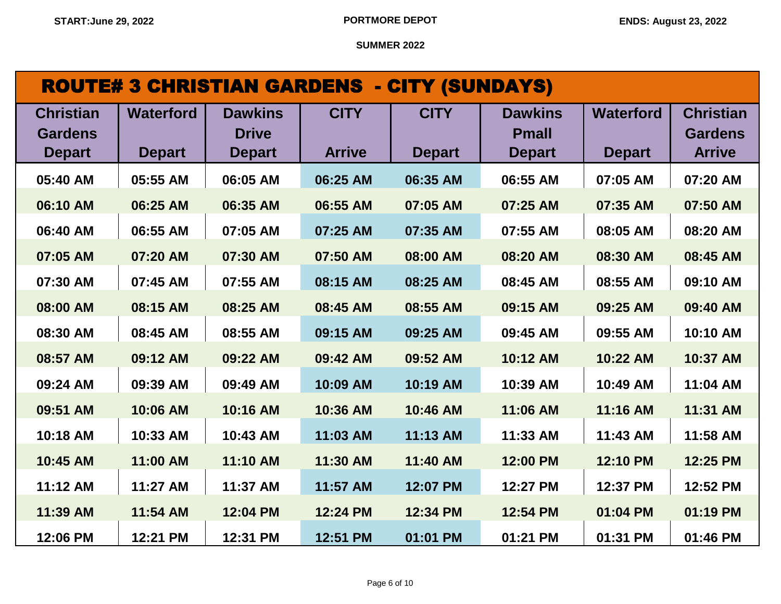| <b>ROUTE# 3 CHRISTIAN GARDENS - CITY (SUNDAYS)</b> |                  |                |               |               |                |                  |                  |  |  |
|----------------------------------------------------|------------------|----------------|---------------|---------------|----------------|------------------|------------------|--|--|
| <b>Christian</b>                                   | <b>Waterford</b> | <b>Dawkins</b> | <b>CITY</b>   | <b>CITY</b>   | <b>Dawkins</b> | <b>Waterford</b> | <b>Christian</b> |  |  |
| <b>Gardens</b>                                     |                  | <b>Drive</b>   |               |               | <b>Pmall</b>   |                  | <b>Gardens</b>   |  |  |
| <b>Depart</b>                                      | <b>Depart</b>    | <b>Depart</b>  | <b>Arrive</b> | <b>Depart</b> | <b>Depart</b>  | <b>Depart</b>    | <b>Arrive</b>    |  |  |
| 05:40 AM                                           | 05:55 AM         | 06:05 AM       | 06:25 AM      | 06:35 AM      | 06:55 AM       | 07:05 AM         | 07:20 AM         |  |  |
| 06:10 AM                                           | 06:25 AM         | 06:35 AM       | 06:55 AM      | 07:05 AM      | 07:25 AM       | 07:35 AM         | 07:50 AM         |  |  |
| 06:40 AM                                           | 06:55 AM         | 07:05 AM       | 07:25 AM      | 07:35 AM      | 07:55 AM       | 08:05 AM         | 08:20 AM         |  |  |
| 07:05 AM                                           | 07:20 AM         | 07:30 AM       | 07:50 AM      | 08:00 AM      | 08:20 AM       | 08:30 AM         | 08:45 AM         |  |  |
| 07:30 AM                                           | 07:45 AM         | 07:55 AM       | 08:15 AM      | 08:25 AM      | 08:45 AM       | 08:55 AM         | 09:10 AM         |  |  |
| 08:00 AM                                           | 08:15 AM         | 08:25 AM       | 08:45 AM      | 08:55 AM      | 09:15 AM       | 09:25 AM         | 09:40 AM         |  |  |
| 08:30 AM                                           | 08:45 AM         | 08:55 AM       | 09:15 AM      | 09:25 AM      | 09:45 AM       | 09:55 AM         | 10:10 AM         |  |  |
| 08:57 AM                                           | 09:12 AM         | 09:22 AM       | 09:42 AM      | 09:52 AM      | 10:12 AM       | 10:22 AM         | 10:37 AM         |  |  |
| 09:24 AM                                           | 09:39 AM         | 09:49 AM       | 10:09 AM      | 10:19 AM      | 10:39 AM       | 10:49 AM         | 11:04 AM         |  |  |
| 09:51 AM                                           | 10:06 AM         | 10:16 AM       | 10:36 AM      | 10:46 AM      | 11:06 AM       | 11:16 AM         | 11:31 AM         |  |  |
| 10:18 AM                                           | 10:33 AM         | 10:43 AM       | 11:03 AM      | 11:13 AM      | 11:33 AM       | 11:43 AM         | 11:58 AM         |  |  |
| 10:45 AM                                           | 11:00 AM         | 11:10 AM       | 11:30 AM      | 11:40 AM      | 12:00 PM       | 12:10 PM         | 12:25 PM         |  |  |
| 11:12 AM                                           | 11:27 AM         | 11:37 AM       | 11:57 AM      | 12:07 PM      | 12:27 PM       | 12:37 PM         | 12:52 PM         |  |  |
| 11:39 AM                                           | 11:54 AM         | 12:04 PM       | 12:24 PM      | 12:34 PM      | 12:54 PM       | 01:04 PM         | 01:19 PM         |  |  |
| 12:06 PM                                           | 12:21 PM         | 12:31 PM       | 12:51 PM      | 01:01 PM      | 01:21 PM       | 01:31 PM         | 01:46 PM         |  |  |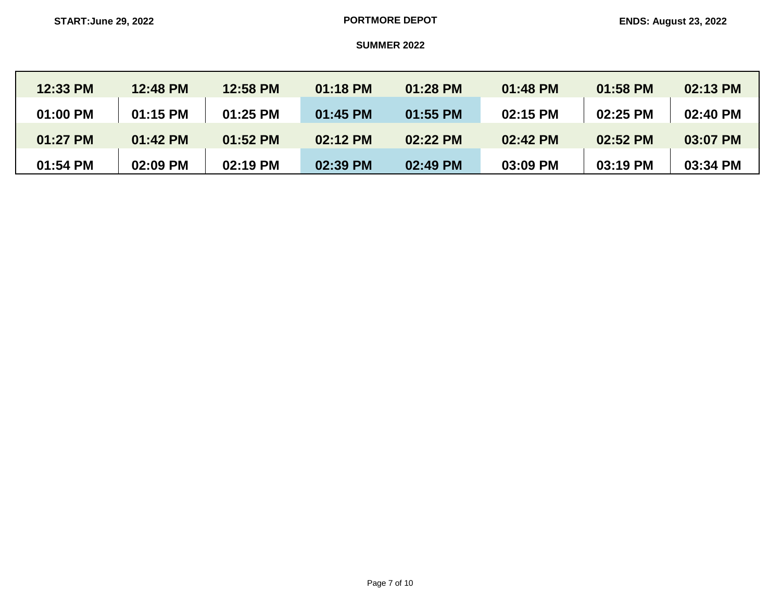| 12:33 PM | 12:48 PM | <b>12:58 PM</b> | 01:18 PM   | 01:28 PM | 01:48 PM | 01:58 PM | 02:13 PM |
|----------|----------|-----------------|------------|----------|----------|----------|----------|
| 01:00 PM | 01:15 PM | $01:25$ PM      | $01:45$ PM | 01:55 PM | 02:15 PM | 02:25 PM | 02:40 PM |
| 01:27 PM | 01:42 PM | 01:52 PM        | 02:12 PM   | 02:22 PM | 02:42 PM | 02:52 PM | 03:07 PM |
| 01:54 PM | 02:09 PM | 02:19 PM        | 02:39 PM   | 02:49 PM | 03:09 PM | 03:19 PM | 03:34 PM |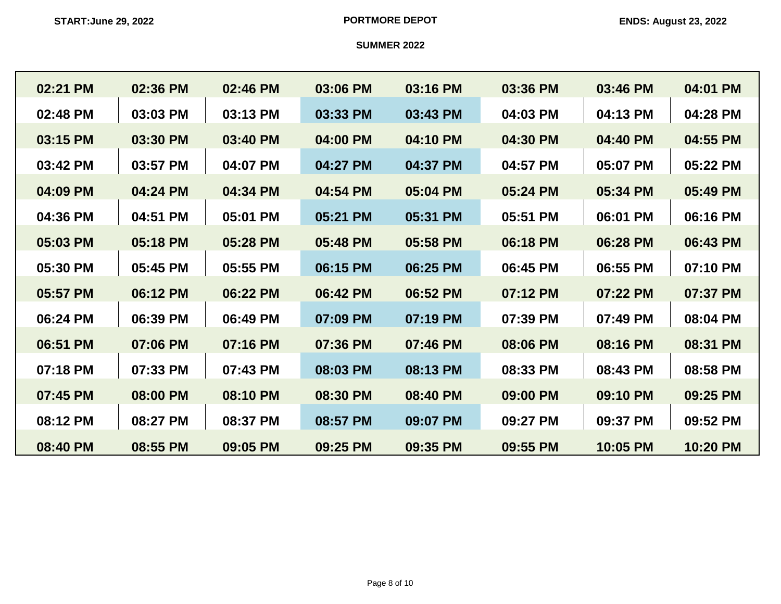| 02:21 PM | 02:36 PM | 02:46 PM | 03:06 PM | 03:16 PM | 03:36 PM | 03:46 PM | 04:01 PM |
|----------|----------|----------|----------|----------|----------|----------|----------|
| 02:48 PM | 03:03 PM | 03:13 PM | 03:33 PM | 03:43 PM | 04:03 PM | 04:13 PM | 04:28 PM |
| 03:15 PM | 03:30 PM | 03:40 PM | 04:00 PM | 04:10 PM | 04:30 PM | 04:40 PM | 04:55 PM |
| 03:42 PM | 03:57 PM | 04:07 PM | 04:27 PM | 04:37 PM | 04:57 PM | 05:07 PM | 05:22 PM |
| 04:09 PM | 04:24 PM | 04:34 PM | 04:54 PM | 05:04 PM | 05:24 PM | 05:34 PM | 05:49 PM |
| 04:36 PM | 04:51 PM | 05:01 PM | 05:21 PM | 05:31 PM | 05:51 PM | 06:01 PM | 06:16 PM |
| 05:03 PM | 05:18 PM | 05:28 PM | 05:48 PM | 05:58 PM | 06:18 PM | 06:28 PM | 06:43 PM |
| 05:30 PM | 05:45 PM | 05:55 PM | 06:15 PM | 06:25 PM | 06:45 PM | 06:55 PM | 07:10 PM |
| 05:57 PM | 06:12 PM | 06:22 PM | 06:42 PM | 06:52 PM | 07:12 PM | 07:22 PM | 07:37 PM |
| 06:24 PM | 06:39 PM | 06:49 PM | 07:09 PM | 07:19 PM | 07:39 PM | 07:49 PM | 08:04 PM |
| 06:51 PM | 07:06 PM | 07:16 PM | 07:36 PM | 07:46 PM | 08:06 PM | 08:16 PM | 08:31 PM |
| 07:18 PM | 07:33 PM | 07:43 PM | 08:03 PM | 08:13 PM | 08:33 PM | 08:43 PM | 08:58 PM |
| 07:45 PM | 08:00 PM | 08:10 PM | 08:30 PM | 08:40 PM | 09:00 PM | 09:10 PM | 09:25 PM |
| 08:12 PM | 08:27 PM | 08:37 PM | 08:57 PM | 09:07 PM | 09:27 PM | 09:37 PM | 09:52 PM |
| 08:40 PM | 08:55 PM | 09:05 PM | 09:25 PM | 09:35 PM | 09:55 PM | 10:05 PM | 10:20 PM |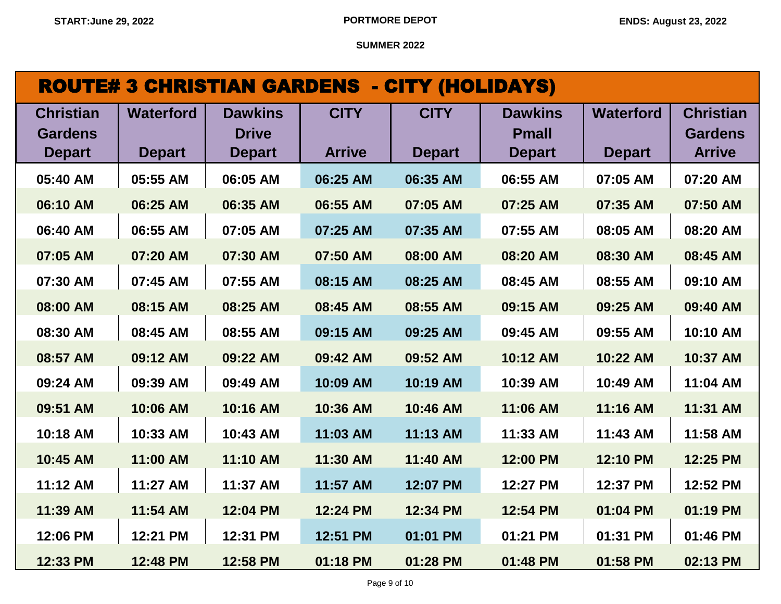| <b>ROUTE# 3 CHRISTIAN GARDENS - CITY (HOLIDAYS)</b> |                                   |                                                 |                              |                              |                                                 |                                   |                                                     |  |  |
|-----------------------------------------------------|-----------------------------------|-------------------------------------------------|------------------------------|------------------------------|-------------------------------------------------|-----------------------------------|-----------------------------------------------------|--|--|
| <b>Christian</b><br><b>Gardens</b><br><b>Depart</b> | <b>Waterford</b><br><b>Depart</b> | <b>Dawkins</b><br><b>Drive</b><br><b>Depart</b> | <b>CITY</b><br><b>Arrive</b> | <b>CITY</b><br><b>Depart</b> | <b>Dawkins</b><br><b>Pmall</b><br><b>Depart</b> | <b>Waterford</b><br><b>Depart</b> | <b>Christian</b><br><b>Gardens</b><br><b>Arrive</b> |  |  |
| 05:40 AM                                            | 05:55 AM                          | 06:05 AM                                        | 06:25 AM                     | 06:35 AM                     | 06:55 AM                                        | 07:05 AM                          | 07:20 AM                                            |  |  |
| 06:10 AM                                            | 06:25 AM                          | 06:35 AM                                        | 06:55 AM                     | 07:05 AM                     | 07:25 AM                                        | 07:35 AM                          | 07:50 AM                                            |  |  |
| 06:40 AM                                            | 06:55 AM                          | 07:05 AM                                        | 07:25 AM                     | 07:35 AM                     | 07:55 AM                                        | 08:05 AM                          | 08:20 AM                                            |  |  |
| 07:05 AM                                            | 07:20 AM                          | 07:30 AM                                        | 07:50 AM                     | 08:00 AM                     | 08:20 AM                                        | 08:30 AM                          | 08:45 AM                                            |  |  |
| 07:30 AM                                            | 07:45 AM                          | 07:55 AM                                        | 08:15 AM                     | 08:25 AM                     | 08:45 AM                                        | 08:55 AM                          | 09:10 AM                                            |  |  |
| 08:00 AM                                            | 08:15 AM                          | 08:25 AM                                        | 08:45 AM                     | 08:55 AM                     | 09:15 AM                                        | 09:25 AM                          | 09:40 AM                                            |  |  |
| 08:30 AM                                            | 08:45 AM                          | 08:55 AM                                        | 09:15 AM                     | 09:25 AM                     | 09:45 AM                                        | 09:55 AM                          | 10:10 AM                                            |  |  |
| 08:57 AM                                            | 09:12 AM                          | 09:22 AM                                        | 09:42 AM                     | 09:52 AM                     | 10:12 AM                                        | 10:22 AM                          | 10:37 AM                                            |  |  |
| 09:24 AM                                            | 09:39 AM                          | 09:49 AM                                        | 10:09 AM                     | 10:19 AM                     | 10:39 AM                                        | 10:49 AM                          | 11:04 AM                                            |  |  |
| 09:51 AM                                            | 10:06 AM                          | 10:16 AM                                        | 10:36 AM                     | 10:46 AM                     | 11:06 AM                                        | 11:16 AM                          | 11:31 AM                                            |  |  |
| 10:18 AM                                            | 10:33 AM                          | 10:43 AM                                        | 11:03 AM                     | 11:13 AM                     | 11:33 AM                                        | 11:43 AM                          | 11:58 AM                                            |  |  |
| 10:45 AM                                            | 11:00 AM                          | 11:10 AM                                        | 11:30 AM                     | 11:40 AM                     | 12:00 PM                                        | 12:10 PM                          | 12:25 PM                                            |  |  |
| 11:12 AM                                            | 11:27 AM                          | 11:37 AM                                        | 11:57 AM                     | 12:07 PM                     | 12:27 PM                                        | 12:37 PM                          | 12:52 PM                                            |  |  |
| 11:39 AM                                            | 11:54 AM                          | 12:04 PM                                        | 12:24 PM                     | 12:34 PM                     | 12:54 PM                                        | 01:04 PM                          | 01:19 PM                                            |  |  |
| 12:06 PM                                            | 12:21 PM                          | 12:31 PM                                        | 12:51 PM                     | 01:01 PM                     | 01:21 PM                                        | 01:31 PM                          | 01:46 PM                                            |  |  |

**12:33 PM 12:48 PM 12:58 PM 01:18 PM 01:28 PM 01:48 PM 01:58 PM 02:13 PM**